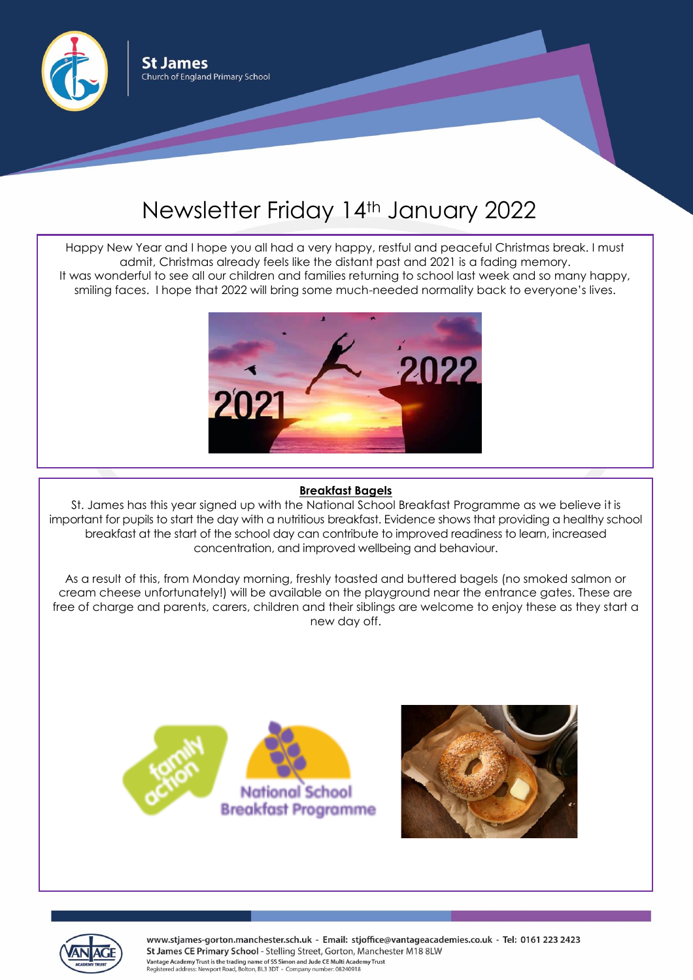

## Newsletter Friday 14th January 2022

Happy New Year and I hope you all had a very happy, restful and peaceful Christmas break. I must admit, Christmas already feels like the distant past and 2021 is a fading memory. It was wonderful to see all our children and families returning to school last week and so many happy, smiling faces. I hope that 2022 will bring some much-needed normality back to everyone's lives.



## **Breakfast Bagels**

St. James has this year signed up with the National School Breakfast Programme as we believe it is important for pupils to start the day with a nutritious breakfast. Evidence shows that providing a healthy school breakfast at the start of the school day can contribute to improved readiness to learn, increased concentration, and improved wellbeing and behaviour.

As a result of this, from Monday morning, freshly toasted and buttered bagels (no smoked salmon or cream cheese unfortunately!) will be available on the playground near the entrance gates. These are free of charge and parents, carers, children and their siblings are welcome to enjoy these as they start a new day off.







www.stjames-gorton.manchester.sch.uk - Email: stjoffice@vantageacademies.co.uk - Tel: 0161 223 2423 St James CE Primary School - Stelling Street, Gorton, Manchester M18 8LW Vantage Academy Trust is the trading name of SS Simon and Jude CE Multi Academy Trust Registered address: Newport Road, Bolton, BL3 3DT - Company number: 08240918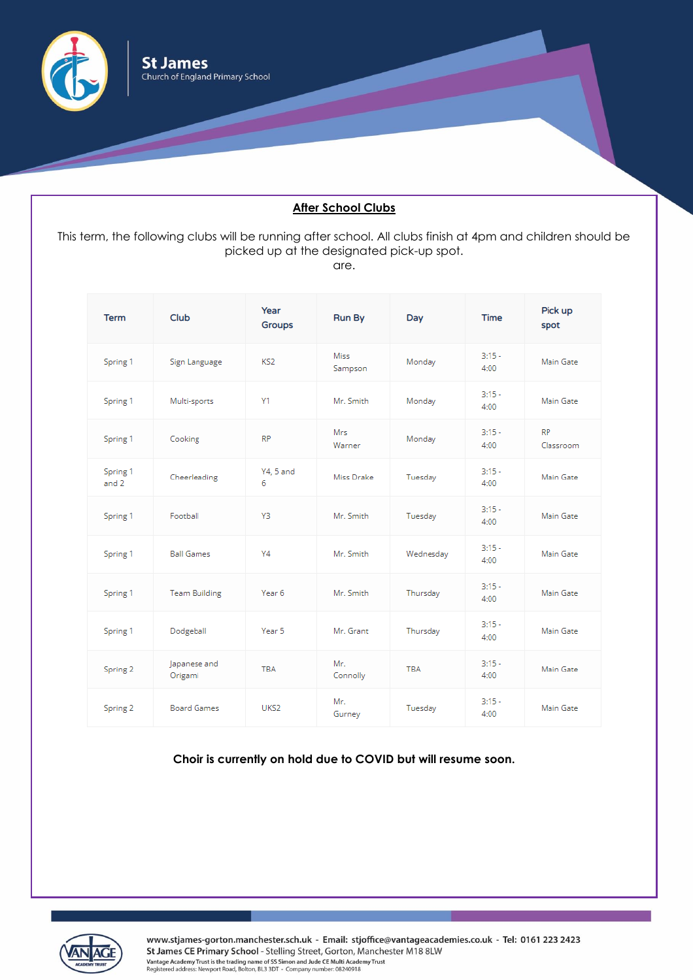

## **After School Clubs**

This term, the following clubs will be running after school. All clubs finish at 4pm and children should be picked up at the designated pick-up spot. are.

| <b>Term</b>       | Club                    | Year<br><b>Groups</b> | <b>Run By</b>          | Day        | <b>Time</b>      | Pick up<br>spot        |
|-------------------|-------------------------|-----------------------|------------------------|------------|------------------|------------------------|
| Spring 1          | Sign Language           | KS <sub>2</sub>       | <b>Miss</b><br>Sampson | Monday     | $3:15 -$<br>4:00 | Main Gate              |
| Spring 1          | Multi-sports            | Y1                    | Mr. Smith              | Monday     | $3:15 -$<br>4:00 | Main Gate              |
| Spring 1          | Cooking                 | <b>RP</b>             | Mrs<br>Warner          | Monday     | $3:15 -$<br>4:00 | <b>RP</b><br>Classroom |
| Spring 1<br>and 2 | Cheerleading            | <b>Y4, 5 and</b><br>6 | Miss Drake             | Tuesday    | $3:15-$<br>4:00  | Main Gate              |
| Spring 1          | Football                | Y3                    | Mr. Smith              | Tuesday    | $3:15 -$<br>4:00 | Main Gate              |
| Spring 1          | <b>Ball Games</b>       | Y4                    | Mr. Smith              | Wednesday  | $3:15 -$<br>4:00 | Main Gate              |
| Spring 1          | <b>Team Building</b>    | Year 6                | Mr. Smith              | Thursday   | $3:15 -$<br>4:00 | Main Gate              |
| Spring 1          | Dodgeball               | Year 5                | Mr. Grant              | Thursday   | $3:15 -$<br>4:00 | Main Gate              |
| Spring 2          | Japanese and<br>Origami | <b>TBA</b>            | Mr.<br>Connolly        | <b>TBA</b> | $3:15 -$<br>4:00 | Main Gate              |
| Spring 2          | <b>Board Games</b>      | UKS <sub>2</sub>      | Mr.<br>Gurney          | Tuesday    | $3:15 -$<br>4:00 | Main Gate              |

**Choir is currently on hold due to COVID but will resume soon.**



www.stjames-gorton.manchester.sch.uk - Email: stjoffice@vantageacademies.co.uk - Tel: 0161 223 2423 St James CE Primary School - Stelling Street, Gorton, Manchester M18 8LW<br>Vantage Academy Trust is the trading name of SS Simon and Jude CE Multi Academy Trust<br>Registered address: Newport Road, Bolton, BL3 3DT - Company num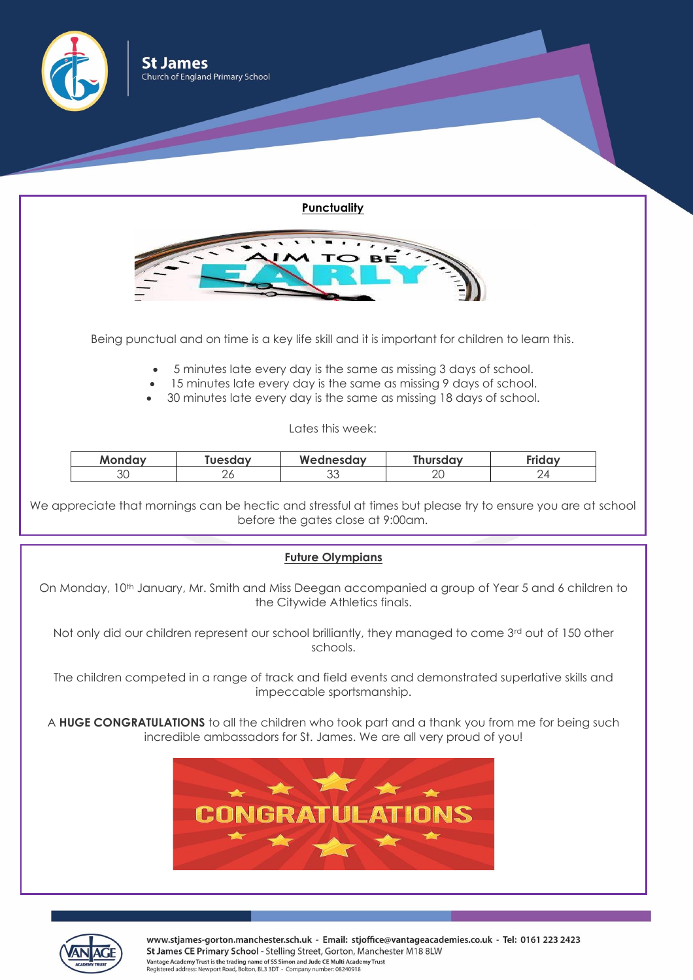

| <b>Monday</b> | <b>Tuesdav</b> | Wednesday    | <b>Thursday</b> | Friday         |
|---------------|----------------|--------------|-----------------|----------------|
|               |                | $\sim$<br>ບປ | nr<br>∠⊾        | $\overline{a}$ |

We appreciate that mornings can be hectic and stressful at times but please try to ensure you are at school before the gates close at 9:00am.

## **Future Olympians**

On Monday, 10<sup>th</sup> January, Mr. Smith and Miss Deegan accompanied a group of Year 5 and 6 children to the Citywide Athletics finals.

Not only did our children represent our school brilliantly, they managed to come 3<sup>rd</sup> out of 150 other schools.

The children competed in a range of track and field events and demonstrated superlative skills and impeccable sportsmanship.

A **HUGE CONGRATULATIONS** to all the children who took part and a thank you from me for being such incredible ambassadors for St. James. We are all very proud of you!





www.stjames-gorton.manchester.sch.uk - Email: stjoffice@vantageacademies.co.uk - Tel: 0161 223 2423 St James CE Primary School - Stelling Street, Gorton, Manchester M18 8LW Vantage Academy Trust is the trading name of SS Simon and Jude CE Multi Academy Trust Registered address: Newport Road, Bolton, BL3 3DT - Company number: 08240918